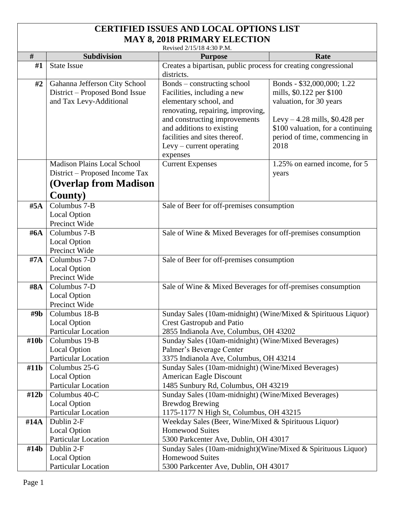## **CERTIFIED ISSUES AND LOCAL OPTIONS LIST MAY 8, 2018 PRIMARY ELECTION**

Revised 2/15/18 4:30 P.M.

|        |                                            | Revised 2/15/18 4:30 P.M.                                                                  |                                        |  |
|--------|--------------------------------------------|--------------------------------------------------------------------------------------------|----------------------------------------|--|
| $\#$   | Subdivision                                | <b>Purpose</b>                                                                             | Rate                                   |  |
| #1     | <b>State Issue</b>                         | Creates a bipartisan, public process for creating congressional                            |                                        |  |
|        |                                            | districts.                                                                                 |                                        |  |
| #2     | Gahanna Jefferson City School              | Bonds – constructing school                                                                | Bonds - \$32,000,000; 1.22             |  |
|        | District – Proposed Bond Issue             | Facilities, including a new                                                                | mills, \$0.122 per \$100               |  |
|        | and Tax Levy-Additional                    | elementary school, and                                                                     | valuation, for 30 years                |  |
|        |                                            | renovating, repairing, improving,                                                          |                                        |  |
|        |                                            | and constructing improvements                                                              | Levy $-4.28$ mills, \$0.428 per        |  |
|        |                                            | and additions to existing                                                                  | \$100 valuation, for a continuing      |  |
|        |                                            | facilities and sites thereof.                                                              | period of time, commencing in          |  |
|        |                                            | Levy - current operating                                                                   | 2018                                   |  |
|        |                                            | expenses                                                                                   |                                        |  |
|        | <b>Madison Plains Local School</b>         | <b>Current Expenses</b>                                                                    | 1.25% on earned income, for 5          |  |
|        | District – Proposed Income Tax             |                                                                                            | years                                  |  |
|        | (Overlap from Madison                      |                                                                                            |                                        |  |
|        | <b>County</b> )                            |                                                                                            |                                        |  |
| #5A    | Columbus 7-B                               | Sale of Beer for off-premises consumption                                                  |                                        |  |
|        | <b>Local Option</b>                        |                                                                                            |                                        |  |
|        | Precinct Wide                              |                                                                                            |                                        |  |
| # $6A$ | Columbus 7-B                               | Sale of Wine & Mixed Beverages for off-premises consumption                                |                                        |  |
|        | <b>Local Option</b>                        |                                                                                            |                                        |  |
|        | Precinct Wide                              |                                                                                            |                                        |  |
| $\#7A$ | Columbus 7-D                               | Sale of Beer for off-premises consumption                                                  |                                        |  |
|        | <b>Local Option</b>                        |                                                                                            |                                        |  |
|        | Precinct Wide                              |                                                                                            |                                        |  |
| #8A    | Columbus 7-D                               | Sale of Wine & Mixed Beverages for off-premises consumption                                |                                        |  |
|        | <b>Local Option</b>                        |                                                                                            |                                        |  |
|        | Precinct Wide                              |                                                                                            |                                        |  |
| #9b    | Columbus 18-B                              | Sunday Sales (10am-midnight) (Wine/Mixed & Spirituous Liquor)                              |                                        |  |
|        | <b>Local Option</b>                        | <b>Crest Gastropub and Patio</b>                                                           |                                        |  |
|        | <b>Particular Location</b>                 |                                                                                            | 2855 Indianola Ave, Columbus, OH 43202 |  |
| #10b   | Columbus 19-B                              | Sunday Sales (10am-midnight) (Wine/Mixed Beverages)                                        |                                        |  |
|        | <b>Local Option</b><br>Particular Location | Palmer's Beverage Center                                                                   |                                        |  |
| #11b   | Columbus 25-G                              | 3375 Indianola Ave, Columbus, OH 43214                                                     |                                        |  |
|        | <b>Local Option</b>                        | Sunday Sales (10am-midnight) (Wine/Mixed Beverages)                                        |                                        |  |
|        | Particular Location                        | American Eagle Discount                                                                    |                                        |  |
| #12b   | Columbus 40-C                              | 1485 Sunbury Rd, Columbus, OH 43219<br>Sunday Sales (10am-midnight) (Wine/Mixed Beverages) |                                        |  |
|        | <b>Local Option</b>                        | <b>Brewdog Brewing</b>                                                                     |                                        |  |
|        | Particular Location                        | 1175-1177 N High St, Columbus, OH 43215                                                    |                                        |  |
| #14A   | Dublin 2-F                                 | Weekday Sales (Beer, Wine/Mixed & Spirituous Liquor)                                       |                                        |  |
|        | <b>Local Option</b>                        | <b>Homewood Suites</b>                                                                     |                                        |  |
|        | Particular Location                        | 5300 Parkcenter Ave, Dublin, OH 43017                                                      |                                        |  |
| #14b   | Dublin 2-F                                 | Sunday Sales (10am-midnight) (Wine/Mixed & Spirituous Liquor)                              |                                        |  |
|        | <b>Local Option</b>                        | <b>Homewood Suites</b>                                                                     |                                        |  |
|        | Particular Location                        | 5300 Parkcenter Ave, Dublin, OH 43017                                                      |                                        |  |
|        |                                            |                                                                                            |                                        |  |